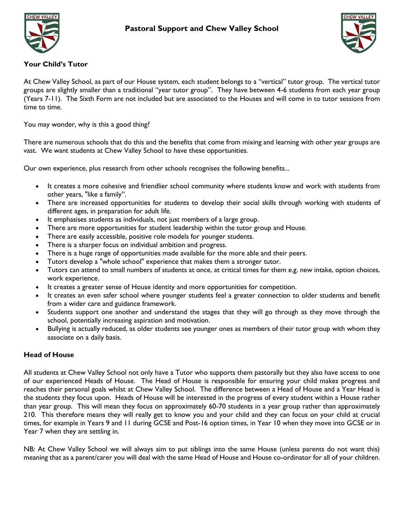



## **Your Child's Tutor**

At Chew Valley School, as part of our House system, each student belongs to a "vertical" tutor group. The vertical tutor groups are slightly smaller than a traditional "year tutor group". They have between 4-6 students from each year group (Years 7-11). The Sixth Form are not included but are associated to the Houses and will come in to tutor sessions from time to time.

You may wonder, why is this a good thing?

There are numerous schools that do this and the benefits that come from mixing and learning with other year groups are vast. We want students at Chew Valley School to have these opportunities.

Our own experience, plus research from other schools recognises the following benefits...

- It creates a more cohesive and friendlier school community where students know and work with students from other years, "like a family".
- There are increased opportunities for students to develop their social skills through working with students of different ages, in preparation for adult life.
- It emphasises students as individuals, not just members of a large group.
- There are more opportunities for student leadership within the tutor group and House.
- There are easily accessible, positive role models for younger students.
- There is a sharper focus on individual ambition and progress.
- There is a huge range of opportunities made available for the more able and their peers.
- Tutors develop a "whole school" experience that makes them a stronger tutor.
- Tutors can attend to small numbers of students at once, at critical times for them e.g. new intake, option choices, work experience.
- It creates a greater sense of House identity and more opportunities for competition.
- It creates an even safer school where younger students feel a greater connection to older students and benefit from a wider care and guidance framework.
- Students support one another and understand the stages that they will go through as they move through the school, potentially increasing aspiration and motivation.
- Bullying is actually reduced, as older students see younger ones as members of their tutor group with whom they associate on a daily basis.

# **Head of House**

All students at Chew Valley School not only have a Tutor who supports them pastorally but they also have access to one of our experienced Heads of House. The Head of House is responsible for ensuring your child makes progress and reaches their personal goals whilst at Chew Valley School. The difference between a Head of House and a Year Head is the students they focus upon. Heads of House will be interested in the progress of every student within a House rather than year group. This will mean they focus on approximately 60-70 students in a year group rather than approximately 210. This therefore means they will really get to know you and your child and they can focus on your child at crucial times, for example in Years 9 and 11 during GCSE and Post-16 option times, in Year 10 when they move into GCSE or in Year 7 when they are settling in.

NB: At Chew Valley School we will always aim to put siblings into the same House (unless parents do not want this) meaning that as a parent/carer you will deal with the same Head of House and House co-ordinator for all of your children.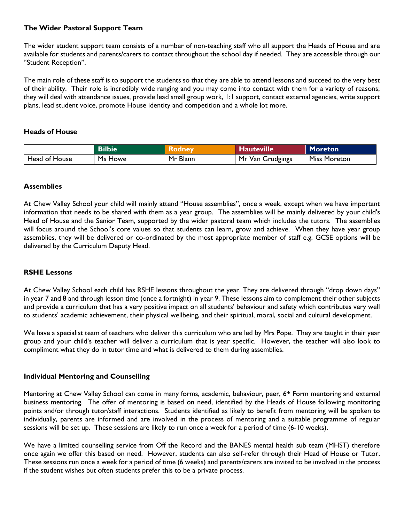## **The Wider Pastoral Support Team**

The wider student support team consists of a number of non-teaching staff who all support the Heads of House and are available for students and parents/carers to contact throughout the school day if needed. They are accessible through our "Student Reception".

The main role of these staff is to support the students so that they are able to attend lessons and succeed to the very best of their ability. Their role is incredibly wide ranging and you may come into contact with them for a variety of reasons; they will deal with attendance issues, provide lead small group work, 1:1 support, contact external agencies, write support plans, lead student voice, promote House identity and competition and a whole lot more.

#### **Heads of House**

|               | <b>Bilbie</b> | <b>Atodney</b> | Hauteville       | Moreton             |
|---------------|---------------|----------------|------------------|---------------------|
| Head of House | Ms Howe       | Mr Blann       | Mr Van Grudgings | <b>Miss Moreton</b> |

#### **Assemblies**

At Chew Valley School your child will mainly attend "House assemblies", once a week, except when we have important information that needs to be shared with them as a year group. The assemblies will be mainly delivered by your child's Head of House and the Senior Team, supported by the wider pastoral team which includes the tutors. The assemblies will focus around the School's core values so that students can learn, grow and achieve. When they have year group assemblies, they will be delivered or co-ordinated by the most appropriate member of staff e.g. GCSE options will be delivered by the Curriculum Deputy Head.

### **RSHE Lessons**

At Chew Valley School each child has RSHE lessons throughout the year. They are delivered through "drop down days" in year 7 and 8 and through lesson time (once a fortnight) in year 9. These lessons aim to complement their other subjects and provide a curriculum that has a very positive impact on all students' behaviour and safety which contributes very well to students' academic achievement, their physical wellbeing, and their spiritual, moral, social and cultural development.

We have a specialist team of teachers who deliver this curriculum who are led by Mrs Pope. They are taught in their year group and your child's teacher will deliver a curriculum that is year specific. However, the teacher will also look to compliment what they do in tutor time and what is delivered to them during assemblies.

#### **Individual Mentoring and Counselling**

Mentoring at Chew Valley School can come in many forms, academic, behaviour, peer, 6th Form mentoring and external business mentoring. The offer of mentoring is based on need, identified by the Heads of House following monitoring points and/or through tutor/staff interactions. Students identified as likely to benefit from mentoring will be spoken to individually, parents are informed and are involved in the process of mentoring and a suitable programme of regular sessions will be set up. These sessions are likely to run once a week for a period of time (6-10 weeks).

We have a limited counselling service from Off the Record and the BANES mental health sub team (MHST) therefore once again we offer this based on need. However, students can also self-refer through their Head of House or Tutor. These sessions run once a week for a period of time (6 weeks) and parents/carers are invited to be involved in the process if the student wishes but often students prefer this to be a private process.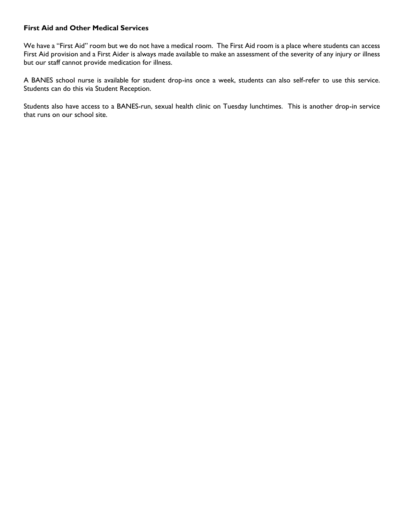## **First Aid and Other Medical Services**

We have a "First Aid" room but we do not have a medical room. The First Aid room is a place where students can access First Aid provision and a First Aider is always made available to make an assessment of the severity of any injury or illness but our staff cannot provide medication for illness.

A BANES school nurse is available for student drop-ins once a week, students can also self-refer to use this service. Students can do this via Student Reception.

Students also have access to a BANES-run, sexual health clinic on Tuesday lunchtimes. This is another drop-in service that runs on our school site.